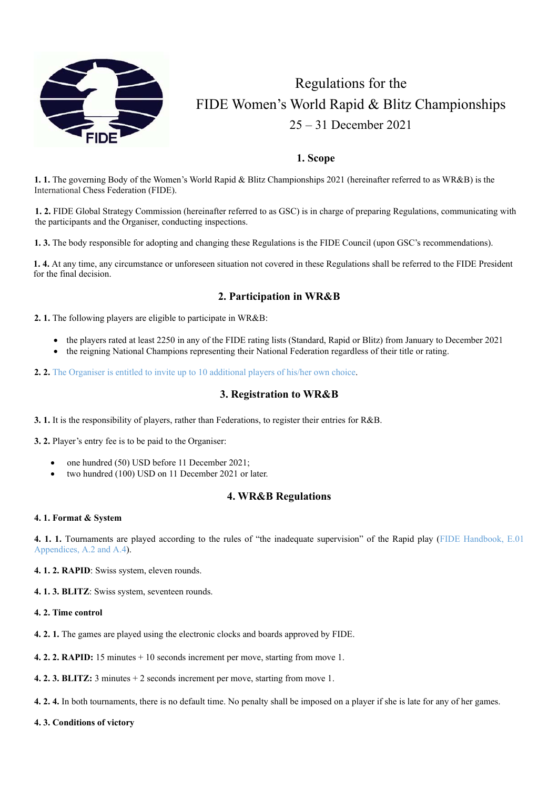

# Regulations for the FIDE Women's World Rapid & Blitz Championships 25 – 31 December 2021

## **1. Scope**

**1. 1.** The governing Body of the Women's World Rapid & Blitz Championships 2021 (hereinafter referred to as WR&B) is the International Chess Federation (FIDE).

**1. 2.** FIDE Global Strategy Commission (hereinafter referred to as GSC) is in charge of preparing Regulations, communicating with the participants and the Organiser, conducting inspections.

**1. 3.** The body responsible for adopting and changing these Regulations is the FIDE Council (upon GSC's recommendations).

**1. 4.** At any time, any circumstance or unforeseen situation not covered in these Regulations shall be referred to the FIDE President for the final decision.

## **2. Participation in WR&B**

**2. 1.** The following players are eligible to participate in WR&B:

- the players rated at least 2250 in any of the FIDE rating lists (Standard, Rapid or Blitz) from January to December 2021
- the reigning National Champions representing their National Federation regardless of their title or rating.
- **2. 2.** The Organiser is entitled to invite up to 10 additional players of his/her own choice.

## **3. Registration to WR&B**

**3. 1.** It is the responsibility of players, rather than Federations, to register their entries for R&B.

**3. 2.** Player's entry fee is to be paid to the Organiser:

- one hundred (50) USD before 11 December 2021;
- two hundred (100) USD on 11 December 2021 or later.

## **4. WR&B Regulations**

## **4. 1. Format & System**

**4. 1. 1.** Tournaments are played according to the rules of "the inadequate supervision" of the Rapid play (FIDE Handbook, E.01 Appendices, A.2 and A.4).

**4. 1. 2. RAPID**: Swiss system, eleven rounds.

**4. 1. 3. BLITZ**: Swiss system, seventeen rounds.

- **4. 2. Time control**
- **4. 2. 1.** The games are played using the electronic clocks and boards approved by FIDE.
- **4. 2. 2. RAPID:** 15 minutes + 10 seconds increment per move, starting from move 1.

**4. 2. 3. BLITZ:** 3 minutes + 2 seconds increment per move, starting from move 1.

- **4. 2. 4.** In both tournaments, there is no default time. No penalty shall be imposed on a player if she is late for any of her games.
- **4. 3. Conditions of victory**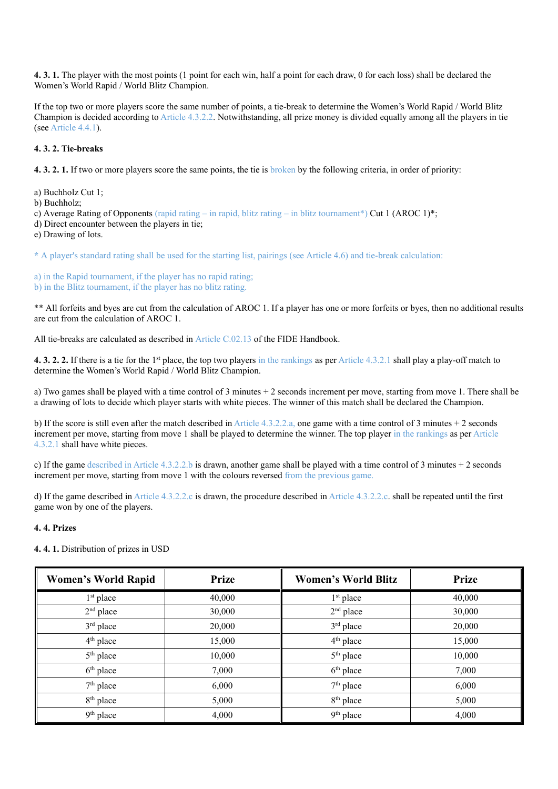**4. 3. 1.** The player with the most points (1 point for each win, half a point for each draw, 0 for each loss) shall be declared the Women's World Rapid / World Blitz Champion.

If the top two or more players score the same number of points, a tie-break to determine the Women's World Rapid / World Blitz Champion is decided according to Article 4.3.2.2. Notwithstanding, all prize money is divided equally among all the players in tie (see Article 4.4.1).

## **4. 3. 2. Tie-breaks**

**4. 3. 2. 1.** If two or more players score the same points, the tie is broken by the following criteria, in order of priority:

a) Buchholz Cut 1;

b) Buchholz;

c) Average Rating of Opponents (rapid rating – in rapid, blitz rating – in blitz tournament\*) Cut 1 (AROC 1)\*;

d) Direct encounter between the players in tie;

e) Drawing of lots.

**\*** A player's standard rating shall be used for the starting list, pairings (see Article 4.6) and tie-break calculation:

a) in the Rapid tournament, if the player has no rapid rating; b) in the Blitz tournament, if the player has no blitz rating.

\*\* All forfeits and byes are cut from the calculation of AROC 1. If a player has one or more forfeits or byes, then no additional results are cut from the calculation of AROC 1.

All tie-breaks are calculated as described in Article C.02.13 of the FIDE Handbook.

**4. 3. 2. 2.** If there is a tie for the 1st place, the top two players in the rankings as per Article 4.3.2.1 shall play a play-off match to determine the Women's World Rapid / World Blitz Champion.

a) Two games shall be played with a time control of 3 minutes + 2 seconds increment per move, starting from move 1. There shall be a drawing of lots to decide which player starts with white pieces. The winner of this match shall be declared the Champion.

b) If the score is still even after the match described in Article 4.3.2.2.a, one game with a time control of 3 minutes + 2 seconds increment per move, starting from move 1 shall be played to determine the winner. The top player in the rankings as per Article 4.3.2.1 shall have white pieces.

c) If the game described in Article 4.3.2.2.b is drawn, another game shall be played with a time control of 3 minutes + 2 seconds increment per move, starting from move 1 with the colours reversed from the previous game.

d) If the game described in Article 4.3.2.2.c is drawn, the procedure described in Article 4.3.2.2.c. shall be repeated until the first game won by one of the players.

## **4. 4. Prizes**

| <b>Women's World Rapid</b> | <b>Prize</b> | <b>Women's World Blitz</b> | <b>Prize</b> |
|----------------------------|--------------|----------------------------|--------------|
| $1st$ place                | 40,000       | $1st$ place                | 40,000       |
| $2nd$ place                | 30,000       | $2nd$ place                | 30,000       |
| $3rd$ place                | 20,000       | 3rd place                  | 20,000       |
| $4th$ place                | 15,000       | $4th$ place                | 15,000       |
| 5 <sup>th</sup> place      | 10,000       | 5 <sup>th</sup> place      | 10,000       |
| $6th$ place                | 7,000        | $6th$ place                | 7,000        |
| $7th$ place                | 6,000        | $7th$ place                | 6,000        |
| 8 <sup>th</sup> place      | 5,000        | 8 <sup>th</sup> place      | 5,000        |
| 9 <sup>th</sup> place      | 4,000        | 9 <sup>th</sup> place      | 4,000        |

**4. 4. 1.** Distribution of prizes in USD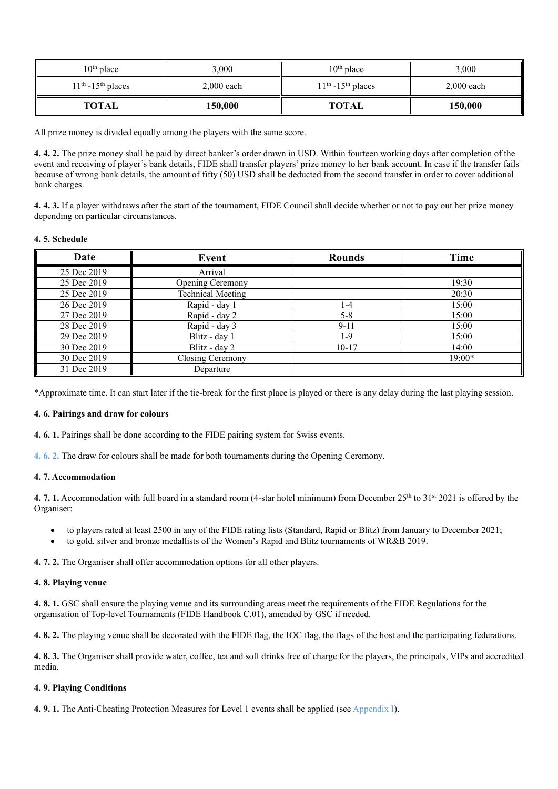| $10th$ place         | 3,000        | $10th$ place         | 3,000        |
|----------------------|--------------|----------------------|--------------|
| $11th - 15th$ places | $2,000$ each | $11th - 15th$ places | $2.000$ each |
| <b>TOTAL</b>         | 150,000      | <b>TOTAL</b>         | 150,000      |

All prize money is divided equally among the players with the same score.

**4. 4. 2.** The prize money shall be paid by direct banker's order drawn in USD. Within fourteen working days after completion of the event and receiving of player's bank details, FIDE shall transfer players' prize money to her bank account. In case if the transfer fails because of wrong bank details, the amount of fifty (50) USD shall be deducted from the second transfer in order to cover additional bank charges.

**4. 4. 3.** If a player withdraws after the start of the tournament, FIDE Council shall decide whether or not to pay out her prize money depending on particular circumstances.

#### **4. 5. Schedule**

| Date        | Event                    | <b>Rounds</b> | Time     |
|-------------|--------------------------|---------------|----------|
| 25 Dec 2019 | Arrival                  |               |          |
| 25 Dec 2019 | <b>Opening Ceremony</b>  |               | 19:30    |
| 25 Dec 2019 | <b>Technical Meeting</b> |               | 20:30    |
| 26 Dec 2019 | Rapid - day 1            | 4- ا          | 15:00    |
| 27 Dec 2019 | Rapid - day 2            | $5 - 8$       | 15:00    |
| 28 Dec 2019 | Rapid - day 3            | $9 - 11$      | 15:00    |
| 29 Dec 2019 | Blitz - day 1            | 1-9           | 15:00    |
| 30 Dec 2019 | Blitz - day 2            | $10 - 17$     | 14:00    |
| 30 Dec 2019 | Closing Ceremony         |               | $19:00*$ |
| 31 Dec 2019 | Departure                |               |          |

\*Approximate time. It can start later if the tie-break for the first place is played or there is any delay during the last playing session.

#### **4. 6. Pairings and draw for colours**

**4. 6. 1.** Pairings shall be done according to the FIDE pairing system for Swiss events.

**4. 6. 2.** The draw for colours shall be made for both tournaments during the Opening Ceremony.

### **4. 7. Accommodation**

**4. 7. 1.** Accommodation with full board in a standard room (4-star hotel minimum) from December 25<sup>th</sup> to 31<sup>st</sup> 2021 is offered by the Organiser:

- to players rated at least 2500 in any of the FIDE rating lists (Standard, Rapid or Blitz) from January to December 2021;
- to gold, silver and bronze medallists of the Women's Rapid and Blitz tournaments of WR&B 2019.

**4. 7. 2.** The Organiser shall offer accommodation options for all other players.

#### **4. 8. Playing venue**

**4. 8. 1.** GSC shall ensure the playing venue and its surrounding areas meet the requirements of the FIDE Regulations for the organisation of Top-level Tournaments (FIDE Handbook C.01), amended by GSC if needed.

**4. 8. 2.** The playing venue shall be decorated with the FIDE flag, the IOC flag, the flags of the host and the participating federations.

**4. 8. 3.** The Organiser shall provide water, coffee, tea and soft drinks free of charge for the players, the principals, VIPs and accredited media.

## **4. 9. Playing Conditions**

**4. 9. 1.** The Anti-Cheating Protection Measures for Level 1 events shall be applied (see Appendix I).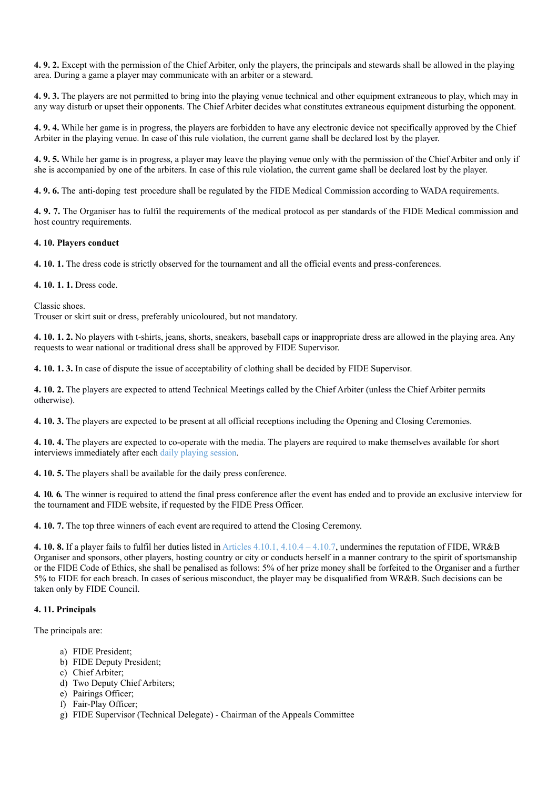**4. 9. 2.** Except with the permission of the Chief Arbiter, only the players, the principals and stewards shall be allowed in the playing area. During a game a player may communicate with an arbiter or a steward.

**4. 9. 3.** The players are not permitted to bring into the playing venue technical and other equipment extraneous to play, which may in any way disturb or upset their opponents. The Chief Arbiter decides what constitutes extraneous equipment disturbing the opponent.

**4. 9. 4.** While her game is in progress, the players are forbidden to have any electronic device not specifically approved by the Chief Arbiter in the playing venue. In case of this rule violation, the current game shall be declared lost by the player.

**4. 9. 5.** While her game is in progress, a player may leave the playing venue only with the permission of the Chief Arbiter and only if she is accompanied by one of the arbiters. In case of this rule violation, the current game shall be declared lost by the player.

**4. 9. 6.** The anti-doping test procedure shall be regulated by the FIDE Medical Commission according to WADA requirements.

**4. 9. 7.** The Organiser has to fulfil the requirements of the medical protocol as per standards of the FIDE Medical commission and host country requirements.

#### **4. 10. Players conduct**

**4. 10. 1.** The dress code is strictly observed for the tournament and all the official events and press-conferences.

**4. 10. 1. 1.** Dress code.

Classic shoes.

Trouser or skirt suit or dress, preferably unicoloured, but not mandatory.

**4. 10. 1. 2.** No players with t-shirts, jeans, shorts, sneakers, baseball caps or inappropriate dress are allowed in the playing area. Any requests to wear national or traditional dress shall be approved by FIDE Supervisor.

**4. 10. 1. 3.** In case of dispute the issue of acceptability of clothing shall be decided by FIDE Supervisor.

**4. 10. 2.** The players are expected to attend Technical Meetings called by the Chief Arbiter (unless the Chief Arbiter permits otherwise).

**4. 10. 3.** The players are expected to be present at all official receptions including the Opening and Closing Ceremonies.

**4. 10. 4.** The players are expected to co-operate with the media. The players are required to make themselves available for short interviews immediately after each daily playing session.

**4. 10. 5.** The players shall be available for the daily press conference.

**4. 10. 6.** The winner is required to attend the final press conference after the event has ended and to provide an exclusive interview for the tournament and FIDE website, if requested by the FIDE Press Officer.

**4. 10. 7.** The top three winners of each event are required to attend the Closing Ceremony.

**4. 10. 8.** If a player fails to fulfil her duties listed in Articles 4.10.1, 4.10.4 – 4.10.7, undermines the reputation of FIDE, WR&B Organiser and sponsors, other players, hosting country or city or conducts herself in a manner contrary to the spirit of sportsmanship or the FIDE Code of Ethics, she shall be penalised as follows: 5% of her prize money shall be forfeited to the Organiser and a further 5% to FIDE for each breach. In cases of serious misconduct, the player may be disqualified from WR&B. Such decisions can be taken only by FIDE Council.

## **4. 11. Principals**

The principals are:

- a) FIDE President;
- b) FIDE Deputy President;
- c) Chief Arbiter;
- d) Two Deputy Chief Arbiters;
- e) Pairings Officer;
- f) Fair-Play Officer;
- g) FIDE Supervisor (Technical Delegate) Chairman of the Appeals Committee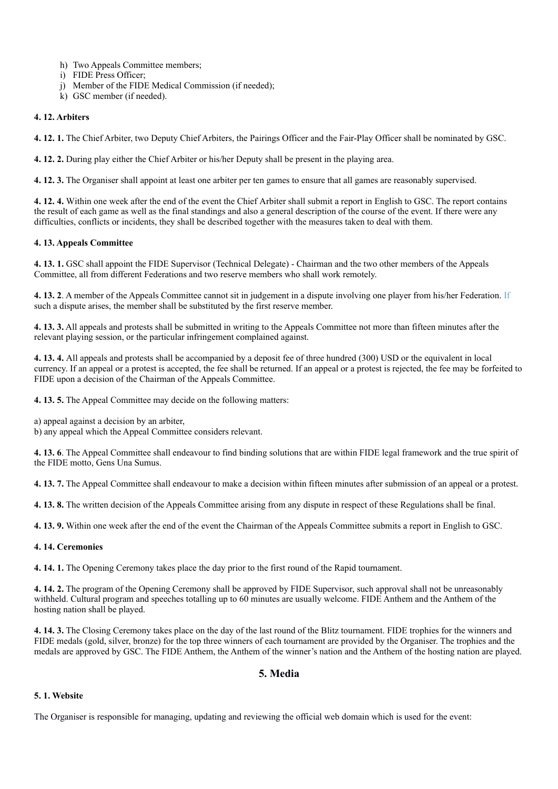- h) Two Appeals Committee members;
- i) FIDE Press Officer;
- j) Member of the FIDE Medical Commission (if needed);
- k) GSC member (if needed).

### **4. 12. Arbiters**

**4. 12. 1.** The Chief Arbiter, two Deputy Chief Arbiters, the Pairings Officer and the Fair-Play Officer shall be nominated by GSC.

**4. 12. 2.** During play either the Chief Arbiter or his/her Deputy shall be present in the playing area.

**4. 12. 3.** The Organiser shall appoint at least one arbiter per ten games to ensure that all games are reasonably supervised.

**4. 12. 4.** Within one week after the end of the event the Chief Arbiter shall submit a report in English to GSC. The report contains the result of each game as well as the final standings and also a general description of the course of the event. If there were any difficulties, conflicts or incidents, they shall be described together with the measures taken to deal with them.

## **4. 13. Appeals Committee**

**4. 13. 1.** GSC shall appoint the FIDE Supervisor (Technical Delegate) - Chairman and the two other members of the Appeals Committee, all from different Federations and two reserve members who shall work remotely.

**4. 13. 2**. A member of the Appeals Committee cannot sit in judgement in a dispute involving one player from his/her Federation. If such a dispute arises, the member shall be substituted by the first reserve member.

**4. 13. 3.** All appeals and protests shall be submitted in writing to the Appeals Committee not more than fifteen minutes after the relevant playing session, or the particular infringement complained against.

**4. 13. 4.** All appeals and protests shall be accompanied by a deposit fee of three hundred (300) USD or the equivalent in local currency. If an appeal or a protest is accepted, the fee shall be returned. If an appeal or a protest is rejected, the fee may be forfeited to FIDE upon a decision of the Chairman of the Appeals Committee.

**4. 13. 5.** The Appeal Committee may decide on the following matters:

a) appeal against a decision by an arbiter,

b) any appeal which the Appeal Committee considers relevant.

**4. 13. 6**. The Appeal Committee shall endeavour to find binding solutions that are within FIDE legal framework and the true spirit of the FIDE motto, Gens Una Sumus.

**4. 13. 7.** The Appeal Committee shall endeavour to make a decision within fifteen minutes after submission of an appeal or a protest.

**4. 13. 8.** The written decision of the Appeals Committee arising from any dispute in respect of these Regulations shall be final.

**4. 13. 9.** Within one week after the end of the event the Chairman of the Appeals Committee submits a report in English to GSC.

**4. 14. Ceremonies** 

**4. 14. 1.** The Opening Ceremony takes place the day prior to the first round of the Rapid tournament.

**4. 14. 2.** The program of the Opening Ceremony shall be approved by FIDE Supervisor, such approval shall not be unreasonably withheld. Cultural program and speeches totalling up to 60 minutes are usually welcome. FIDE Anthem and the Anthem of the hosting nation shall be played.

**4. 14. 3.** The Closing Ceremony takes place on the day of the last round of the Blitz tournament. FIDE trophies for the winners and FIDE medals (gold, silver, bronze) for the top three winners of each tournament are provided by the Organiser. The trophies and the medals are approved by GSC. The FIDE Anthem, the Anthem of the winner's nation and the Anthem of the hosting nation are played.

## **5. Media**

### **5. 1. Website**

The Organiser is responsible for managing, updating and reviewing the official web domain which is used for the event: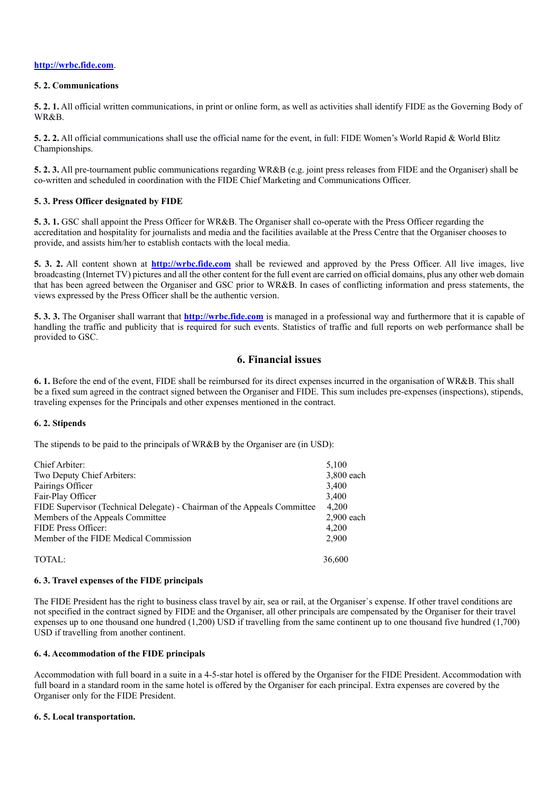#### **http://wrbc.fide.com**.

#### **5. 2. Communications**

**5. 2. 1.** All official written communications, in print or online form, as well as activities shall identify FIDE as the Governing Body of WR&B.

**5. 2. 2.** All official communications shall use the official name for the event, in full: FIDE Women's World Rapid & World Blitz Championships.

**5. 2. 3.** All pre-tournament public communications regarding WR&B (e.g. joint press releases from FIDE and the Organiser) shall be co-written and scheduled in coordination with the FIDE Chief Marketing and Communications Officer.

## **5. 3. Press Officer designated by FIDE**

**5. 3. 1.** GSC shall appoint the Press Officer for WR&B. The Organiser shall co-operate with the Press Officer regarding the accreditation and hospitality for journalists and media and the facilities available at the Press Centre that the Organiser chooses to provide, and assists him/her to establish contacts with the local media.

**5. 3. 2.** All content shown at **http://wrbc.fide.com** shall be reviewed and approved by the Press Officer. All live images, live broadcasting (Internet TV) pictures and all the other content for the full event are carried on official domains, plus any other web domain that has been agreed between the Organiser and GSC prior to WR&B. In cases of conflicting information and press statements, the views expressed by the Press Officer shall be the authentic version.

**5. 3. 3.** The Organiser shall warrant that **http://wrbc.fide.com** is managed in a professional way and furthermore that it is capable of handling the traffic and publicity that is required for such events. Statistics of traffic and full reports on web performance shall be provided to GSC.

## **6. Financial issues**

**6. 1.** Before the end of the event, FIDE shall be reimbursed for its direct expenses incurred in the organisation of WR&B. This shall be a fixed sum agreed in the contract signed between the Organiser and FIDE. This sum includes pre-expenses (inspections), stipends, traveling expenses for the Principals and other expenses mentioned in the contract.

## **6. 2. Stipends**

The stipends to be paid to the principals of WR&B by the Organiser are (in USD):

| Chief Arbiter:                                                           | 5,100        |
|--------------------------------------------------------------------------|--------------|
| Two Deputy Chief Arbiters:                                               | 3,800 each   |
| Pairings Officer                                                         | 3,400        |
| Fair-Play Officer                                                        | 3,400        |
| FIDE Supervisor (Technical Delegate) - Chairman of the Appeals Committee | 4.200        |
| Members of the Appeals Committee                                         | $2.900$ each |
| FIDE Press Officer:                                                      | 4.200        |
| Member of the FIDE Medical Commission                                    | 2.900        |
|                                                                          |              |
| TOTAL:                                                                   | 36,600       |
|                                                                          |              |

## **6. 3. Travel expenses of the FIDE principals**

The FIDE President has the right to business class travel by air, sea or rail, at the Organiser`s expense. If other travel conditions are not specified in the contract signed by FIDE and the Organiser, all other principals are compensated by the Organiser for their travel expenses up to one thousand one hundred (1,200) USD if travelling from the same continent up to one thousand five hundred (1,700) USD if travelling from another continent.

## **6. 4. Accommodation of the FIDE principals**

Accommodation with full board in a suite in a 4-5-star hotel is offered by the Organiser for the FIDE President. Accommodation with full board in a standard room in the same hotel is offered by the Organiser for each principal. Extra expenses are covered by the Organiser only for the FIDE President.

## **6. 5. Local transportation.**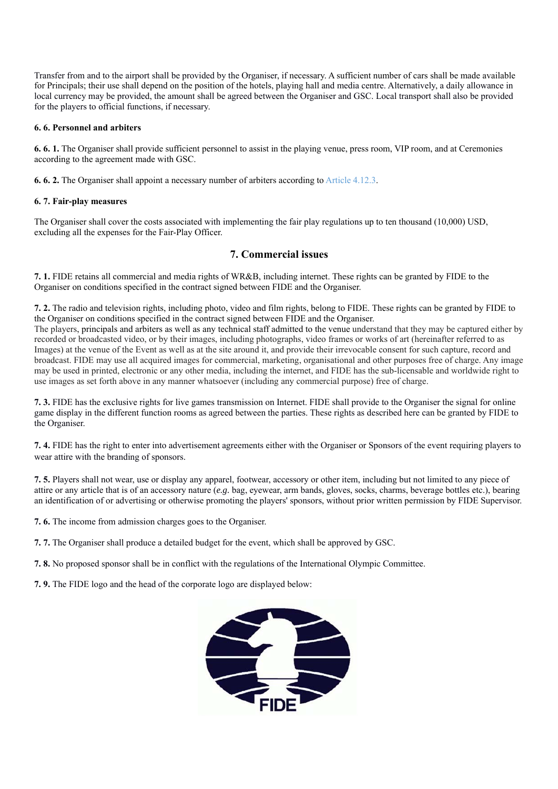Transfer from and to the airport shall be provided by the Organiser, if necessary. A sufficient number of cars shall be made available for Principals; their use shall depend on the position of the hotels, playing hall and media centre. Alternatively, a daily allowance in local currency may be provided, the amount shall be agreed between the Organiser and GSC. Local transport shall also be provided for the players to official functions, if necessary.

## **6. 6. Personnel and arbiters**

**6. 6. 1.** The Organiser shall provide sufficient personnel to assist in the playing venue, press room, VIP room, and at Ceremonies according to the agreement made with GSC.

**6. 6. 2.** The Organiser shall appoint a necessary number of arbiters according to Article 4.12.3.

## **6. 7. Fair-play measures**

The Organiser shall cover the costs associated with implementing the fair play regulations up to ten thousand (10,000) USD, excluding all the expenses for the Fair-Play Officer.

## **7. Commercial issues**

**7. 1.** FIDE retains all commercial and media rights of WR&B, including internet. These rights can be granted by FIDE to the Organiser on conditions specified in the contract signed between FIDE and the Organiser.

**7. 2.** The radio and television rights, including photo, video and film rights, belong to FIDE. These rights can be granted by FIDE to the Organiser on conditions specified in the contract signed between FIDE and the Organiser. The players, principals and arbiters as well as any technical staff admitted to the venue understand that they may be captured either by recorded or broadcasted video, or by their images, including photographs, video frames or works of art (hereinafter referred to as Images) at the venue of the Event as well as at the site around it, and provide their irrevocable consent for such capture, record and broadcast. FIDE may use all acquired images for commercial, marketing, organisational and other purposes free of charge. Any image may be used in printed, electronic or any other media, including the internet, and FIDE has the sub-licensable and worldwide right to use images as set forth above in any manner whatsoever (including any commercial purpose) free of charge.

**7. 3.** FIDE has the exclusive rights for live games transmission on Internet. FIDE shall provide to the Organiser the signal for online game display in the different function rooms as agreed between the parties. These rights as described here can be granted by FIDE to the Organiser.

**7. 4.** FIDE has the right to enter into advertisement agreements either with the Organiser or Sponsors of the event requiring players to wear attire with the branding of sponsors.

**7. 5.** Players shall not wear, use or display any apparel, footwear, accessory or other item, including but not limited to any piece of attire or any article that is of an accessory nature (*e.g.* bag, eyewear, arm bands, gloves, socks, charms, beverage bottles etc.), bearing an identification of or advertising or otherwise promoting the players' sponsors, without prior written permission by FIDE Supervisor.

**7. 6.** The income from admission charges goes to the Organiser.

**7. 7.** The Organiser shall produce a detailed budget for the event, which shall be approved by GSC.

**7. 8.** No proposed sponsor shall be in conflict with the regulations of the International Olympic Committee.

**7. 9.** The FIDE logo and the head of the corporate logo are displayed below: